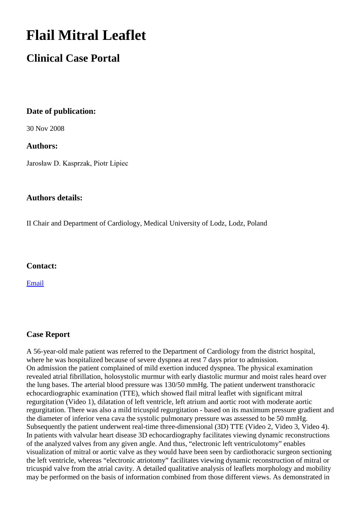# **Flail Mitral Leaflet**

## **Clinical Case Portal**

#### **Date of publication:**

30 Nov 2008

#### **Authors:**

Jarosław D. Kasprzak, Piotr Lipiec

#### **Authors details:**

II Chair and Department of Cardiology, Medical University of Lodz, Lodz, Poland

#### **Contact:**

[Email](mailto:kasprzak@ptkardio.pl) 

### **Case Report**

A 56-year-old male patient was referred to the Department of Cardiology from the district hospital, where he was hospitalized because of severe dyspnea at rest 7 days prior to admission. On admission the patient complained of mild exertion induced dyspnea. The physical examination revealed atrial fibrillation, holosystolic murmur with early diastolic murmur and moist rales heard over the lung bases. The arterial blood pressure was 130/50 mmHg. The patient underwent transthoracic echocardiographic examination (TTE), which showed flail mitral leaflet with significant mitral regurgitation (Video 1), dilatation of left ventricle, left atrium and aortic root with moderate aortic regurgitation. There was also a mild tricuspid regurgitation - based on its maximum pressure gradient and the diameter of inferior vena cava the systolic pulmonary pressure was assessed to be 50 mmHg. Subsequently the patient underwent real-time three-dimensional (3D) TTE (Video 2, Video 3, Video 4). In patients with valvular heart disease 3D echocardiography facilitates viewing dynamic reconstructions of the analyzed valves from any given angle. And thus, "electronic left ventriculotomy" enables visualization of mitral or aortic valve as they would have been seen by cardiothoracic surgeon sectioning the left ventricle, whereas "electronic atriotomy" facilitates viewing dynamic reconstruction of mitral or tricuspid valve from the atrial cavity. A detailed qualitative analysis of leaflets morphology and mobility may be performed on the basis of information combined from those different views. As demonstrated in